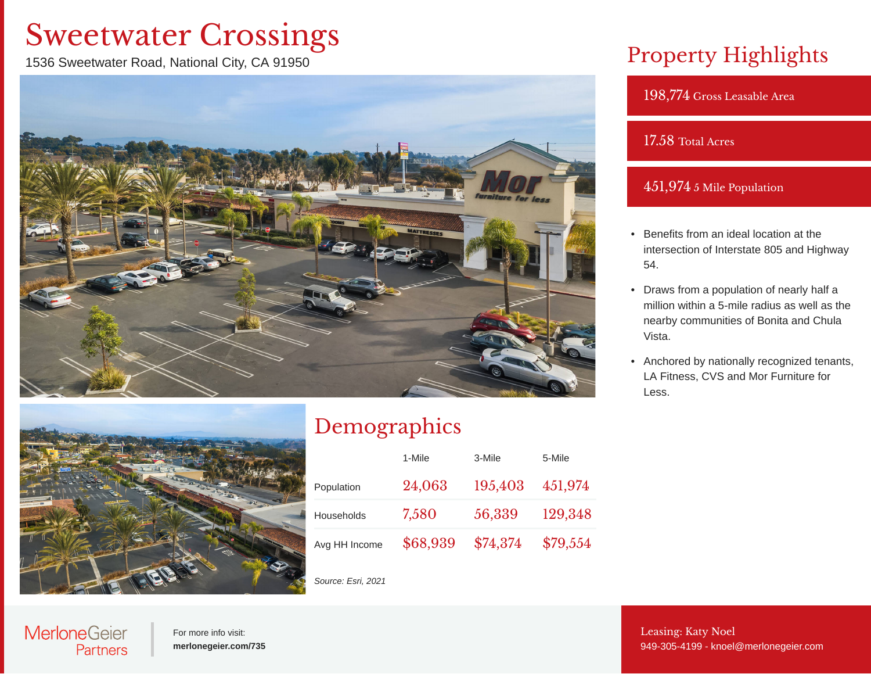# Sweetwater Crossings

1536 Sweetwater Road, National City, CA 91950



## Property Highlights

198,774 Gross Leasable Area

#### 17.58 Total Acres

#### 451,974 5 Mile Population

- Benefits from an ideal location at the intersection of Interstate 805 and Highway 54.
- Draws from a population of nearly half a million within a 5-mile radius as well as the nearby communities of Bonita and Chula Vista.
- Anchored by nationally recognized tenants, LA Fitness, CVS and Mor Furniture for Less.



## Demographics

|               | 1-Mile   | 3-Mile   | 5-Mile   |
|---------------|----------|----------|----------|
| Population    | 24,063   | 195,403  | 451,974  |
| Households    | 7,580    | 56,339   | 129,348  |
| Avg HH Income | \$68,939 | \$74,374 | \$79,554 |

*Source: Esri, 2021*

### **MerloneGeier** Partners

For more info visit: **[merlonegeier.com/735](http://merlonegeier.com/735)** Leasing: Katy Noel [949-305-4199](tel:949-305-4199)- [knoel@merlonegeier.com](mailto:knoel@merlonegeier.com)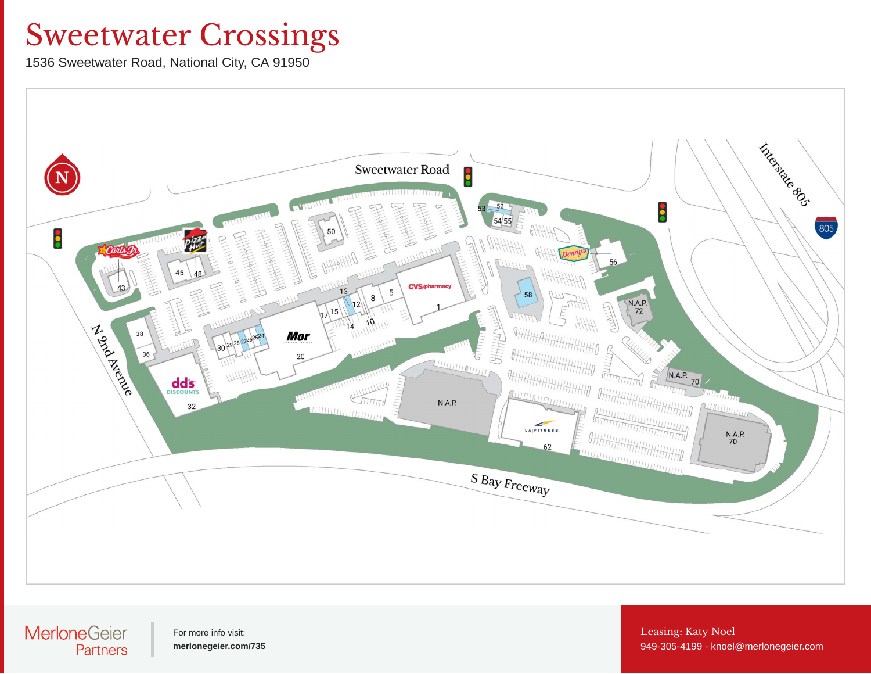# Sweetwater Crossings

1536 Sweetwater Road, National City, CA 91950



#### **MerloneGeier** Partners

For more info visit: **[merlonegeier.com/735](http://merlonegeier.com/735)** Leasing: Katy Noel [949-305-4199](tel:949-305-4199)- [knoel@merlonegeier.com](mailto:knoel@merlonegeier.com)